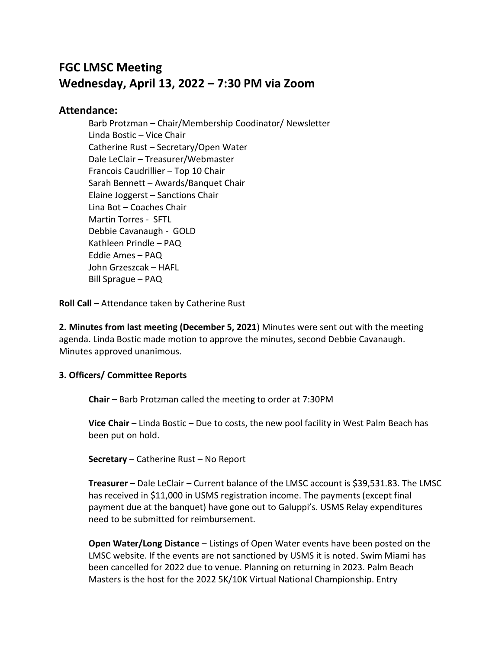# **FGC LMSC Meeting Wednesday, April 13, 2022 – 7:30 PM via Zoom**

## **Attendance:**

Barb Protzman – Chair/Membership Coodinator/ Newsletter Linda Bostic – Vice Chair Catherine Rust – Secretary/Open Water Dale LeClair – Treasurer/Webmaster Francois Caudrillier – Top 10 Chair Sarah Bennett – Awards/Banquet Chair Elaine Joggerst – Sanctions Chair Lina Bot – Coaches Chair Martin Torres - SFTL Debbie Cavanaugh - GOLD Kathleen Prindle – PAQ Eddie Ames – PAQ John Grzeszcak – HAFL Bill Sprague – PAQ

**Roll Call** – Attendance taken by Catherine Rust

**2. Minutes from last meeting (December 5, 2021**) Minutes were sent out with the meeting agenda. Linda Bostic made motion to approve the minutes, second Debbie Cavanaugh. Minutes approved unanimous.

### **3. Officers/ Committee Reports**

**Chair** – Barb Protzman called the meeting to order at 7:30PM

**Vice Chair** – Linda Bostic – Due to costs, the new pool facility in West Palm Beach has been put on hold.

**Secretary** – Catherine Rust – No Report

**Treasurer** – Dale LeClair – Current balance of the LMSC account is \$39,531.83. The LMSC has received in \$11,000 in USMS registration income. The payments (except final payment due at the banquet) have gone out to Galuppi's. USMS Relay expenditures need to be submitted for reimbursement.

**Open Water/Long Distance** – Listings of Open Water events have been posted on the LMSC website. If the events are not sanctioned by USMS it is noted. Swim Miami has been cancelled for 2022 due to venue. Planning on returning in 2023. Palm Beach Masters is the host for the 2022 5K/10K Virtual National Championship. Entry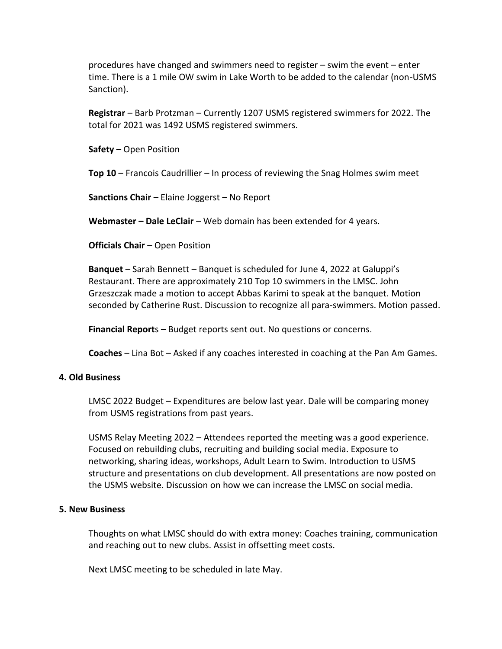procedures have changed and swimmers need to register – swim the event – enter time. There is a 1 mile OW swim in Lake Worth to be added to the calendar (non-USMS Sanction).

**Registrar** – Barb Protzman – Currently 1207 USMS registered swimmers for 2022. The total for 2021 was 1492 USMS registered swimmers.

**Safety** – Open Position

**Top 10** – Francois Caudrillier – In process of reviewing the Snag Holmes swim meet

**Sanctions Chair** – Elaine Joggerst – No Report

**Webmaster – Dale LeClair** – Web domain has been extended for 4 years.

**Officials Chair** – Open Position

**Banquet** – Sarah Bennett – Banquet is scheduled for June 4, 2022 at Galuppi's Restaurant. There are approximately 210 Top 10 swimmers in the LMSC. John Grzeszczak made a motion to accept Abbas Karimi to speak at the banquet. Motion seconded by Catherine Rust. Discussion to recognize all para-swimmers. Motion passed.

**Financial Report**s – Budget reports sent out. No questions or concerns.

**Coaches** – Lina Bot – Asked if any coaches interested in coaching at the Pan Am Games.

#### **4. Old Business**

LMSC 2022 Budget – Expenditures are below last year. Dale will be comparing money from USMS registrations from past years.

USMS Relay Meeting 2022 – Attendees reported the meeting was a good experience. Focused on rebuilding clubs, recruiting and building social media. Exposure to networking, sharing ideas, workshops, Adult Learn to Swim. Introduction to USMS structure and presentations on club development. All presentations are now posted on the USMS website. Discussion on how we can increase the LMSC on social media.

#### **5. New Business**

Thoughts on what LMSC should do with extra money: Coaches training, communication and reaching out to new clubs. Assist in offsetting meet costs.

Next LMSC meeting to be scheduled in late May.